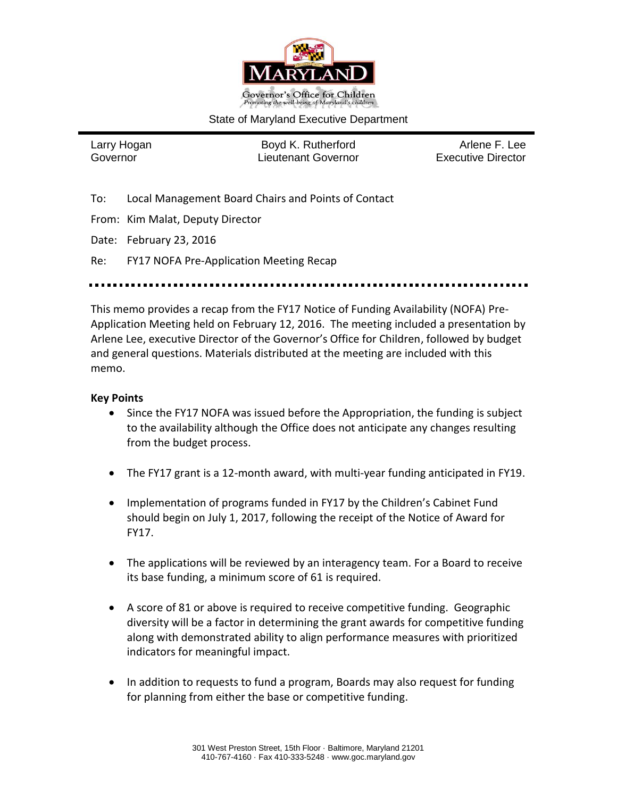

#### State of Maryland Executive Department

Larry Hogan **Boyd K. Rutherford** Arlene F. Lee Governor Lieutenant Governor Executive Director

- To: Local Management Board Chairs and Points of Contact
- From: Kim Malat, Deputy Director
- Date: February 23, 2016

Re: FY17 NOFA Pre-Application Meeting Recap

This memo provides a recap from the FY17 Notice of Funding Availability (NOFA) Pre-Application Meeting held on February 12, 2016. The meeting included a presentation by Arlene Lee, executive Director of the Governor's Office for Children, followed by budget and general questions. Materials distributed at the meeting are included with this memo.

#### **Key Points**

- Since the FY17 NOFA was issued before the Appropriation, the funding is subject to the availability although the Office does not anticipate any changes resulting from the budget process.
- The FY17 grant is a 12-month award, with multi-year funding anticipated in FY19.
- Implementation of programs funded in FY17 by the Children's Cabinet Fund should begin on July 1, 2017, following the receipt of the Notice of Award for FY17.
- The applications will be reviewed by an interagency team. For a Board to receive its base funding, a minimum score of 61 is required.
- A score of 81 or above is required to receive competitive funding. Geographic diversity will be a factor in determining the grant awards for competitive funding along with demonstrated ability to align performance measures with prioritized indicators for meaningful impact.
- In addition to requests to fund a program, Boards may also request for funding for planning from either the base or competitive funding.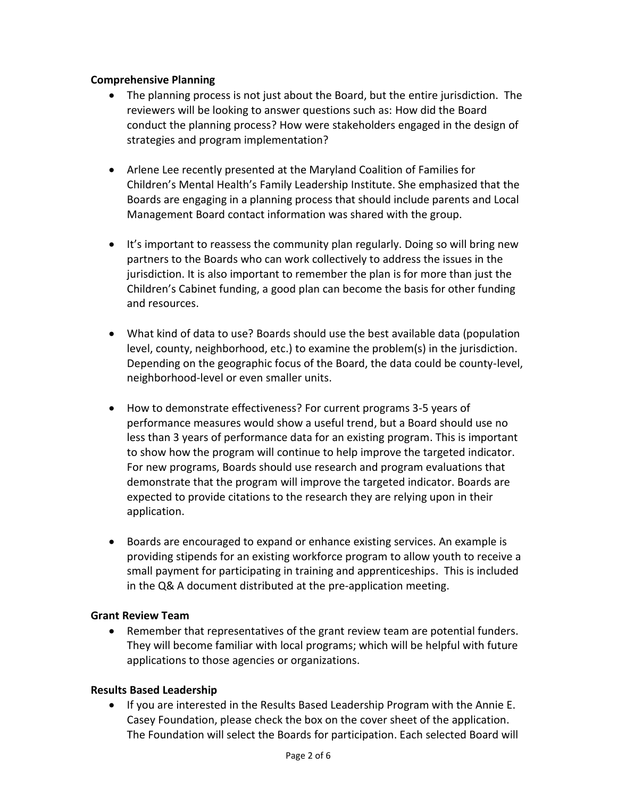#### **Comprehensive Planning**

- The planning process is not just about the Board, but the entire jurisdiction. The reviewers will be looking to answer questions such as: How did the Board conduct the planning process? How were stakeholders engaged in the design of strategies and program implementation?
- Arlene Lee recently presented at the Maryland Coalition of Families for Children's Mental Health's Family Leadership Institute. She emphasized that the Boards are engaging in a planning process that should include parents and Local Management Board contact information was shared with the group.
- It's important to reassess the community plan regularly. Doing so will bring new partners to the Boards who can work collectively to address the issues in the jurisdiction. It is also important to remember the plan is for more than just the Children's Cabinet funding, a good plan can become the basis for other funding and resources.
- What kind of data to use? Boards should use the best available data (population level, county, neighborhood, etc.) to examine the problem(s) in the jurisdiction. Depending on the geographic focus of the Board, the data could be county-level, neighborhood-level or even smaller units.
- How to demonstrate effectiveness? For current programs 3-5 years of performance measures would show a useful trend, but a Board should use no less than 3 years of performance data for an existing program. This is important to show how the program will continue to help improve the targeted indicator. For new programs, Boards should use research and program evaluations that demonstrate that the program will improve the targeted indicator. Boards are expected to provide citations to the research they are relying upon in their application.
- Boards are encouraged to expand or enhance existing services. An example is providing stipends for an existing workforce program to allow youth to receive a small payment for participating in training and apprenticeships. This is included in the Q& A document distributed at the pre-application meeting.

#### **Grant Review Team**

 Remember that representatives of the grant review team are potential funders. They will become familiar with local programs; which will be helpful with future applications to those agencies or organizations.

### **Results Based Leadership**

 If you are interested in the Results Based Leadership Program with the Annie E. Casey Foundation, please check the box on the cover sheet of the application. The Foundation will select the Boards for participation. Each selected Board will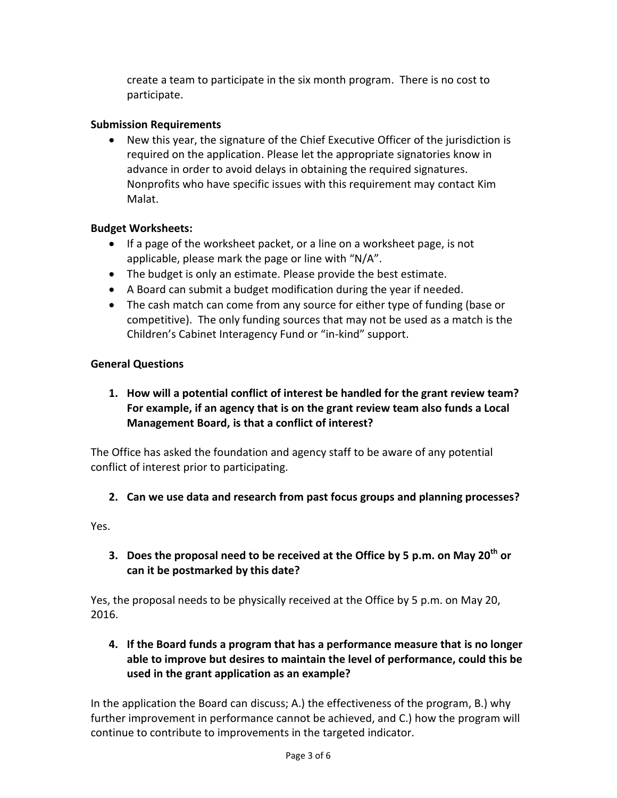create a team to participate in the six month program. There is no cost to participate.

### **Submission Requirements**

 New this year, the signature of the Chief Executive Officer of the jurisdiction is required on the application. Please let the appropriate signatories know in advance in order to avoid delays in obtaining the required signatures. Nonprofits who have specific issues with this requirement may contact Kim Malat.

#### **Budget Worksheets:**

- If a page of the worksheet packet, or a line on a worksheet page, is not applicable, please mark the page or line with "N/A".
- The budget is only an estimate. Please provide the best estimate.
- A Board can submit a budget modification during the year if needed.
- The cash match can come from any source for either type of funding (base or competitive). The only funding sources that may not be used as a match is the Children's Cabinet Interagency Fund or "in-kind" support.

#### **General Questions**

**1. How will a potential conflict of interest be handled for the grant review team? For example, if an agency that is on the grant review team also funds a Local Management Board, is that a conflict of interest?**

The Office has asked the foundation and agency staff to be aware of any potential conflict of interest prior to participating.

### **2. Can we use data and research from past focus groups and planning processes?**

Yes.

**3. Does the proposal need to be received at the Office by 5 p.m. on May 20th or can it be postmarked by this date?**

Yes, the proposal needs to be physically received at the Office by 5 p.m. on May 20, 2016.

**4. If the Board funds a program that has a performance measure that is no longer able to improve but desires to maintain the level of performance, could this be used in the grant application as an example?**

In the application the Board can discuss; A.) the effectiveness of the program, B.) why further improvement in performance cannot be achieved, and C.) how the program will continue to contribute to improvements in the targeted indicator.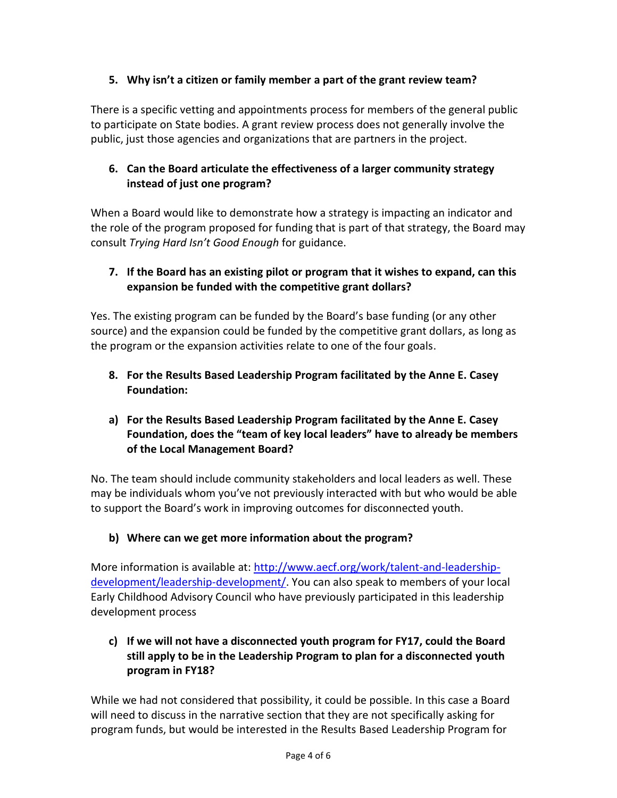# **5. Why isn't a citizen or family member a part of the grant review team?**

There is a specific vetting and appointments process for members of the general public to participate on State bodies. A grant review process does not generally involve the public, just those agencies and organizations that are partners in the project.

# **6. Can the Board articulate the effectiveness of a larger community strategy instead of just one program?**

When a Board would like to demonstrate how a strategy is impacting an indicator and the role of the program proposed for funding that is part of that strategy, the Board may consult *Trying Hard Isn't Good Enough* for guidance.

# **7. If the Board has an existing pilot or program that it wishes to expand, can this expansion be funded with the competitive grant dollars?**

Yes. The existing program can be funded by the Board's base funding (or any other source) and the expansion could be funded by the competitive grant dollars, as long as the program or the expansion activities relate to one of the four goals.

**8. For the Results Based Leadership Program facilitated by the Anne E. Casey Foundation:**

# **a) For the Results Based Leadership Program facilitated by the Anne E. Casey Foundation, does the "team of key local leaders" have to already be members of the Local Management Board?**

No. The team should include community stakeholders and local leaders as well. These may be individuals whom you've not previously interacted with but who would be able to support the Board's work in improving outcomes for disconnected youth.

# **b) Where can we get more information about the program?**

More information is available at: [http://www.aecf.org/work/talent-and-leadership](http://www.aecf.org/work/talent-and-leadership-development/leadership-development/)[development/leadership-development/.](http://www.aecf.org/work/talent-and-leadership-development/leadership-development/) You can also speak to members of your local Early Childhood Advisory Council who have previously participated in this leadership development process

# **c) If we will not have a disconnected youth program for FY17, could the Board still apply to be in the Leadership Program to plan for a disconnected youth program in FY18?**

While we had not considered that possibility, it could be possible. In this case a Board will need to discuss in the narrative section that they are not specifically asking for program funds, but would be interested in the Results Based Leadership Program for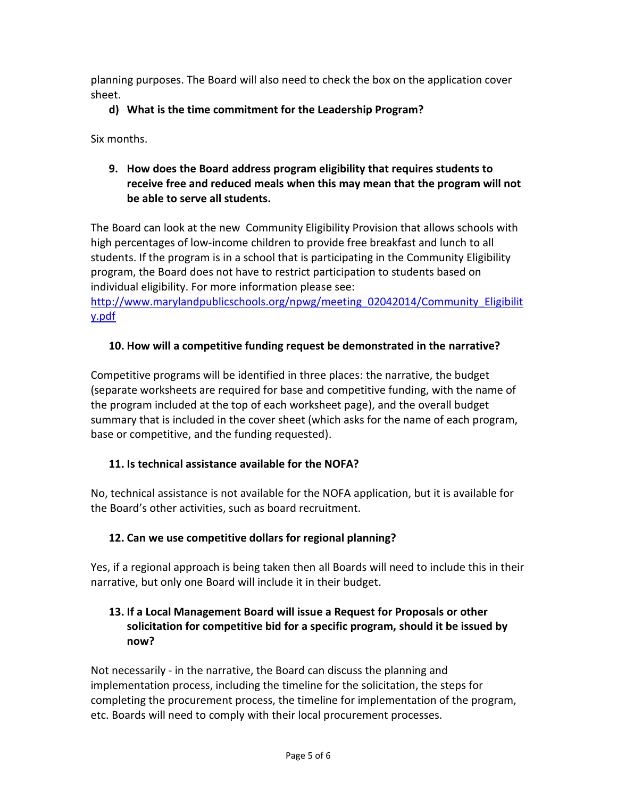planning purposes. The Board will also need to check the box on the application cover sheet.

# **d) What is the time commitment for the Leadership Program?**

Six months.

# **9. How does the Board address program eligibility that requires students to receive free and reduced meals when this may mean that the program will not be able to serve all students.**

The Board can look at the new Community Eligibility Provision that allows schools with high percentages of low-income children to provide free breakfast and lunch to all students. If the program is in a school that is participating in the Community Eligibility program, the Board does not have to restrict participation to students based on individual eligibility. For more information please see:

[http://www.marylandpublicschools.org/npwg/meeting\\_02042014/Community\\_Eligibilit](http://www.marylandpublicschools.org/npwg/meeting_02042014/Community_Eligibility.pdf) [y.pdf](http://www.marylandpublicschools.org/npwg/meeting_02042014/Community_Eligibility.pdf)

# **10. How will a competitive funding request be demonstrated in the narrative?**

Competitive programs will be identified in three places: the narrative, the budget (separate worksheets are required for base and competitive funding, with the name of the program included at the top of each worksheet page), and the overall budget summary that is included in the cover sheet (which asks for the name of each program, base or competitive, and the funding requested).

### **11. Is technical assistance available for the NOFA?**

No, technical assistance is not available for the NOFA application, but it is available for the Board's other activities, such as board recruitment.

# **12. Can we use competitive dollars for regional planning?**

Yes, if a regional approach is being taken then all Boards will need to include this in their narrative, but only one Board will include it in their budget.

# **13. If a Local Management Board will issue a Request for Proposals or other solicitation for competitive bid for a specific program, should it be issued by now?**

Not necessarily - in the narrative, the Board can discuss the planning and implementation process, including the timeline for the solicitation, the steps for completing the procurement process, the timeline for implementation of the program, etc. Boards will need to comply with their local procurement processes.